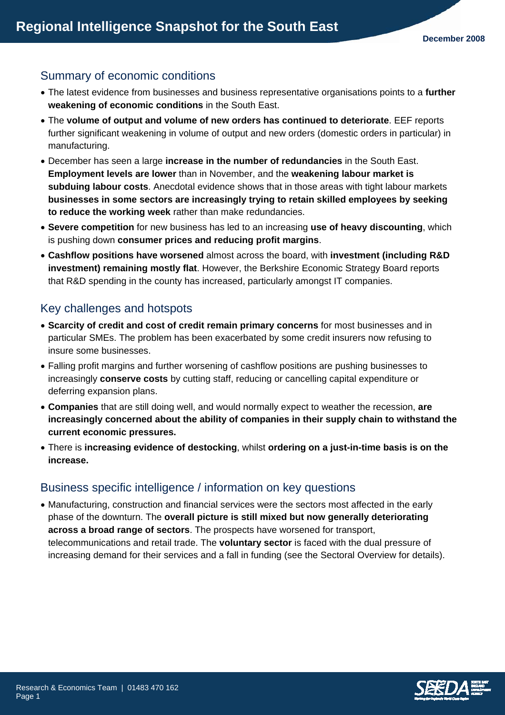# Summary of economic conditions

- The latest evidence from businesses and business representative organisations points to a **further weakening of economic conditions** in the South East.
- The **volume of output and volume of new orders has continued to deteriorate**. EEF reports further significant weakening in volume of output and new orders (domestic orders in particular) in manufacturing.
- December has seen a large **increase in the number of redundancies** in the South East. **Employment levels are lower** than in November, and the **weakening labour market is subduing labour costs**. Anecdotal evidence shows that in those areas with tight labour markets **businesses in some sectors are increasingly trying to retain skilled employees by seeking to reduce the working week** rather than make redundancies.
- **Severe competition** for new business has led to an increasing **use of heavy discounting**, which is pushing down **consumer prices and reducing profit margins**.
- **Cashflow positions have worsened** almost across the board, with **investment (including R&D investment) remaining mostly flat**. However, the Berkshire Economic Strategy Board reports that R&D spending in the county has increased, particularly amongst IT companies.

# Key challenges and hotspots

- **Scarcity of credit and cost of credit remain primary concerns** for most businesses and in particular SMEs. The problem has been exacerbated by some credit insurers now refusing to insure some businesses.
- Falling profit margins and further worsening of cashflow positions are pushing businesses to increasingly **conserve costs** by cutting staff, reducing or cancelling capital expenditure or deferring expansion plans.
- **Companies** that are still doing well, and would normally expect to weather the recession, **are increasingly concerned about the ability of companies in their supply chain to withstand the current economic pressures.**
- There is **increasing evidence of destocking**, whilst **ordering on a just-in-time basis is on the increase.**

## Business specific intelligence / information on key questions

• Manufacturing, construction and financial services were the sectors most affected in the early phase of the downturn. The **overall picture is still mixed but now generally deteriorating across a broad range of sectors**. The prospects have worsened for transport, telecommunications and retail trade. The **voluntary sector** is faced with the dual pressure of increasing demand for their services and a fall in funding (see the Sectoral Overview for details).

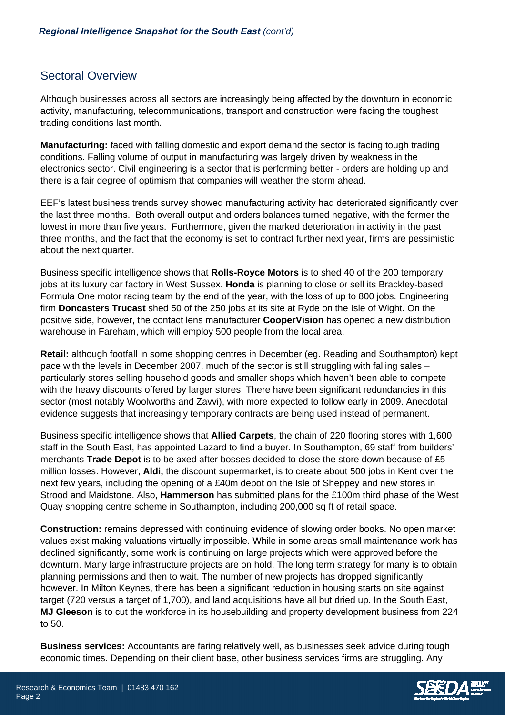## Sectoral Overview

Although businesses across all sectors are increasingly being affected by the downturn in economic activity, manufacturing, telecommunications, transport and construction were facing the toughest trading conditions last month.

**Manufacturing:** faced with falling domestic and export demand the sector is facing tough trading conditions. Falling volume of output in manufacturing was largely driven by weakness in the electronics sector. Civil engineering is a sector that is performing better - orders are holding up and there is a fair degree of optimism that companies will weather the storm ahead.

EEF's latest business trends survey showed manufacturing activity had deteriorated significantly over the last three months. Both overall output and orders balances turned negative, with the former the lowest in more than five years. Furthermore, given the marked deterioration in activity in the past three months, and the fact that the economy is set to contract further next year, firms are pessimistic about the next quarter.

Business specific intelligence shows that **Rolls-Royce Motors** is to shed 40 of the 200 temporary jobs at its luxury car factory in West Sussex. **Honda** is planning to close or sell its Brackley-based Formula One motor racing team by the end of the year, with the loss of up to 800 jobs. Engineering firm **Doncasters Trucast** shed 50 of the 250 jobs at its site at Ryde on the Isle of Wight. On the positive side, however, the contact lens manufacturer **CooperVision** has opened a new distribution warehouse in Fareham, which will employ 500 people from the local area.

**Retail:** although footfall in some shopping centres in December (eg. Reading and Southampton) kept pace with the levels in December 2007, much of the sector is still struggling with falling sales – particularly stores selling household goods and smaller shops which haven't been able to compete with the heavy discounts offered by larger stores. There have been significant redundancies in this sector (most notably Woolworths and Zavvi), with more expected to follow early in 2009. Anecdotal evidence suggests that increasingly temporary contracts are being used instead of permanent.

Business specific intelligence shows that **Allied Carpets**, the chain of 220 flooring stores with 1,600 staff in the South East, has appointed Lazard to find a buyer. In Southampton, 69 staff from builders' merchants **Trade Depot** is to be axed after bosses decided to close the store down because of £5 million losses. However, **Aldi,** the discount supermarket, is to create about 500 jobs in Kent over the next few years, including the opening of a £40m depot on the Isle of Sheppey and new stores in Strood and Maidstone. Also, **Hammerson** has submitted plans for the £100m third phase of the West Quay shopping centre scheme in Southampton, including 200,000 sq ft of retail space.

**Construction:** remains depressed with continuing evidence of slowing order books. No open market values exist making valuations virtually impossible. While in some areas small maintenance work has declined significantly, some work is continuing on large projects which were approved before the downturn. Many large infrastructure projects are on hold. The long term strategy for many is to obtain planning permissions and then to wait. The number of new projects has dropped significantly, however. In Milton Keynes, there has been a significant reduction in housing starts on site against target (720 versus a target of 1,700), and land acquisitions have all but dried up. In the South East, **MJ Gleeson** is to cut the workforce in its housebuilding and property development business from 224 to 50.

**Business services:** Accountants are faring relatively well, as businesses seek advice during tough economic times. Depending on their client base, other business services firms are struggling. Any

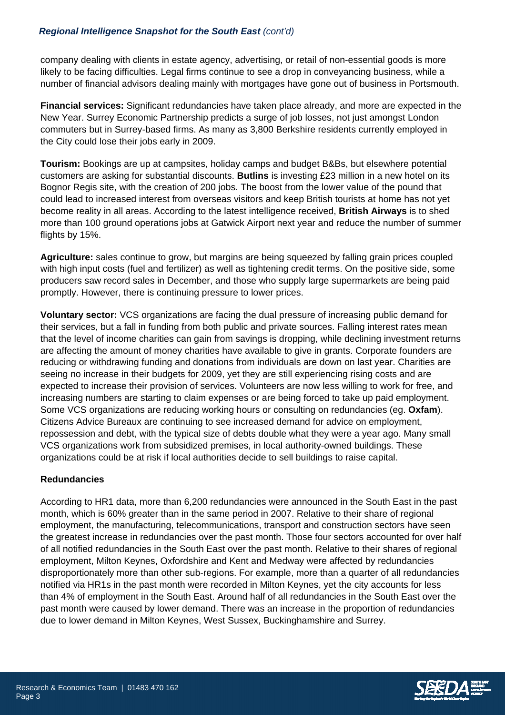#### *Regional Intelligence Snapshot for the South East (cont'd)*

company dealing with clients in estate agency, advertising, or retail of non-essential goods is more likely to be facing difficulties. Legal firms continue to see a drop in conveyancing business, while a number of financial advisors dealing mainly with mortgages have gone out of business in Portsmouth.

**Financial services:** Significant redundancies have taken place already, and more are expected in the New Year. Surrey Economic Partnership predicts a surge of job losses, not just amongst London commuters but in Surrey-based firms. As many as 3,800 Berkshire residents currently employed in the City could lose their jobs early in 2009.

**Tourism:** Bookings are up at campsites, holiday camps and budget B&Bs, but elsewhere potential customers are asking for substantial discounts. **Butlins** is investing £23 million in a new hotel on its Bognor Regis site, with the creation of 200 jobs. The boost from the lower value of the pound that could lead to increased interest from overseas visitors and keep British tourists at home has not yet become reality in all areas. According to the latest intelligence received, **British Airways** is to shed more than 100 ground operations jobs at Gatwick Airport next year and reduce the number of summer flights by 15%.

**Agriculture:** sales continue to grow, but margins are being squeezed by falling grain prices coupled with high input costs (fuel and fertilizer) as well as tightening credit terms. On the positive side, some producers saw record sales in December, and those who supply large supermarkets are being paid promptly. However, there is continuing pressure to lower prices.

**Voluntary sector:** VCS organizations are facing the dual pressure of increasing public demand for their services, but a fall in funding from both public and private sources. Falling interest rates mean that the level of income charities can gain from savings is dropping, while declining investment returns are affecting the amount of money charities have available to give in grants. Corporate founders are reducing or withdrawing funding and donations from individuals are down on last year. Charities are seeing no increase in their budgets for 2009, yet they are still experiencing rising costs and are expected to increase their provision of services. Volunteers are now less willing to work for free, and increasing numbers are starting to claim expenses or are being forced to take up paid employment. Some VCS organizations are reducing working hours or consulting on redundancies (eg. **Oxfam**). Citizens Advice Bureaux are continuing to see increased demand for advice on employment, repossession and debt, with the typical size of debts double what they were a year ago. Many small VCS organizations work from subsidized premises, in local authority-owned buildings. These organizations could be at risk if local authorities decide to sell buildings to raise capital.

#### **Redundancies**

According to HR1 data, more than 6,200 redundancies were announced in the South East in the past month, which is 60% greater than in the same period in 2007. Relative to their share of regional employment, the manufacturing, telecommunications, transport and construction sectors have seen the greatest increase in redundancies over the past month. Those four sectors accounted for over half of all notified redundancies in the South East over the past month. Relative to their shares of regional employment, Milton Keynes, Oxfordshire and Kent and Medway were affected by redundancies disproportionately more than other sub-regions. For example, more than a quarter of all redundancies notified via HR1s in the past month were recorded in Milton Keynes, yet the city accounts for less than 4% of employment in the South East. Around half of all redundancies in the South East over the past month were caused by lower demand. There was an increase in the proportion of redundancies due to lower demand in Milton Keynes, West Sussex, Buckinghamshire and Surrey.